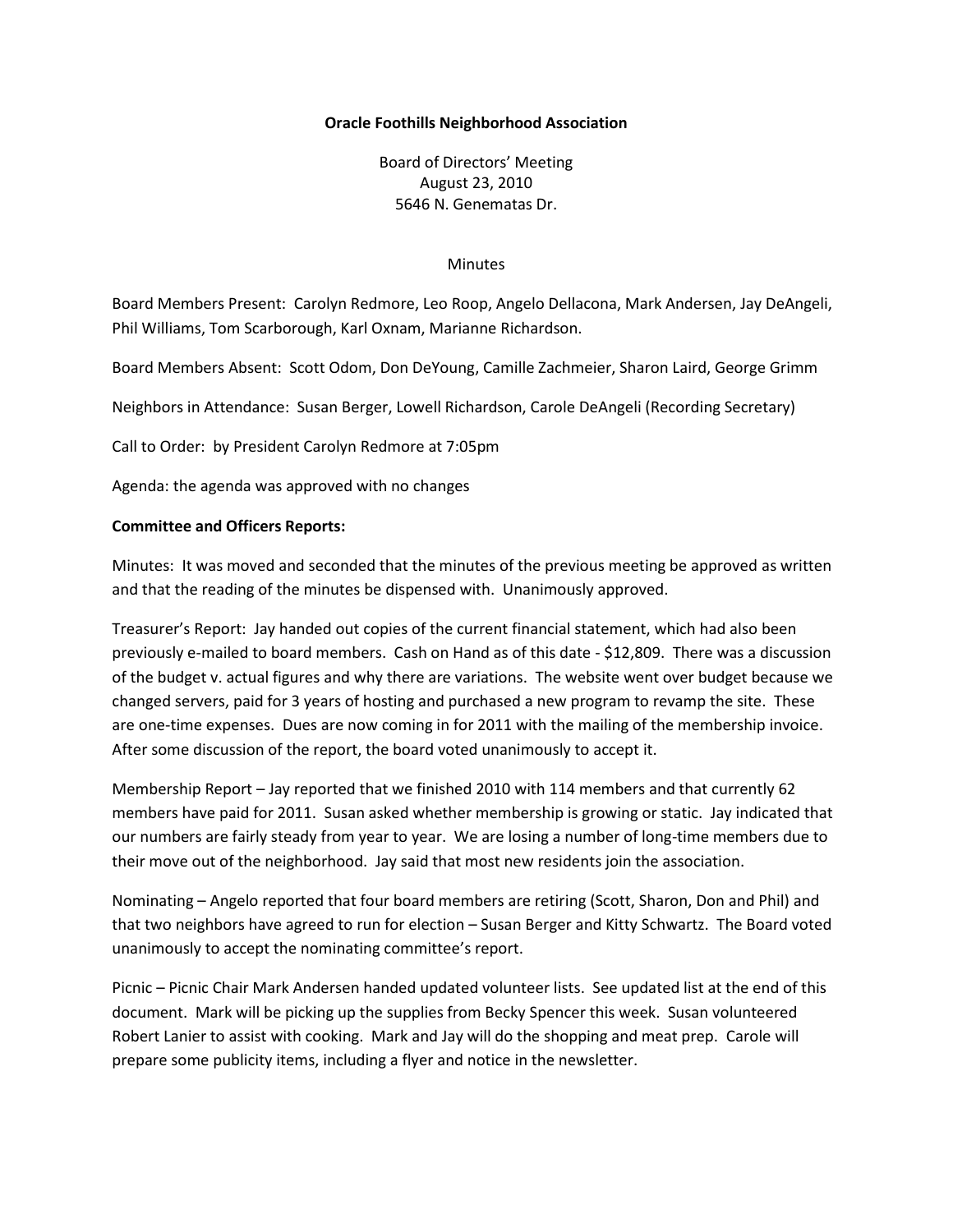#### **Oracle Foothills Neighborhood Association**

Board of Directors' Meeting August 23, 2010 5646 N. Genematas Dr.

#### Minutes

Board Members Present: Carolyn Redmore, Leo Roop, Angelo Dellacona, Mark Andersen, Jay DeAngeli, Phil Williams, Tom Scarborough, Karl Oxnam, Marianne Richardson.

Board Members Absent: Scott Odom, Don DeYoung, Camille Zachmeier, Sharon Laird, George Grimm

Neighbors in Attendance: Susan Berger, Lowell Richardson, Carole DeAngeli (Recording Secretary)

Call to Order: by President Carolyn Redmore at 7:05pm

Agenda: the agenda was approved with no changes

#### **Committee and Officers Reports:**

Minutes: It was moved and seconded that the minutes of the previous meeting be approved as written and that the reading of the minutes be dispensed with. Unanimously approved.

Treasurer's Report: Jay handed out copies of the current financial statement, which had also been previously e-mailed to board members. Cash on Hand as of this date - \$12,809. There was a discussion of the budget v. actual figures and why there are variations. The website went over budget because we changed servers, paid for 3 years of hosting and purchased a new program to revamp the site. These are one-time expenses. Dues are now coming in for 2011 with the mailing of the membership invoice. After some discussion of the report, the board voted unanimously to accept it.

Membership Report – Jay reported that we finished 2010 with 114 members and that currently 62 members have paid for 2011. Susan asked whether membership is growing or static. Jay indicated that our numbers are fairly steady from year to year. We are losing a number of long-time members due to their move out of the neighborhood. Jay said that most new residents join the association.

Nominating – Angelo reported that four board members are retiring (Scott, Sharon, Don and Phil) and that two neighbors have agreed to run for election – Susan Berger and Kitty Schwartz. The Board voted unanimously to accept the nominating committee's report.

Picnic – Picnic Chair Mark Andersen handed updated volunteer lists. See updated list at the end of this document. Mark will be picking up the supplies from Becky Spencer this week. Susan volunteered Robert Lanier to assist with cooking. Mark and Jay will do the shopping and meat prep. Carole will prepare some publicity items, including a flyer and notice in the newsletter.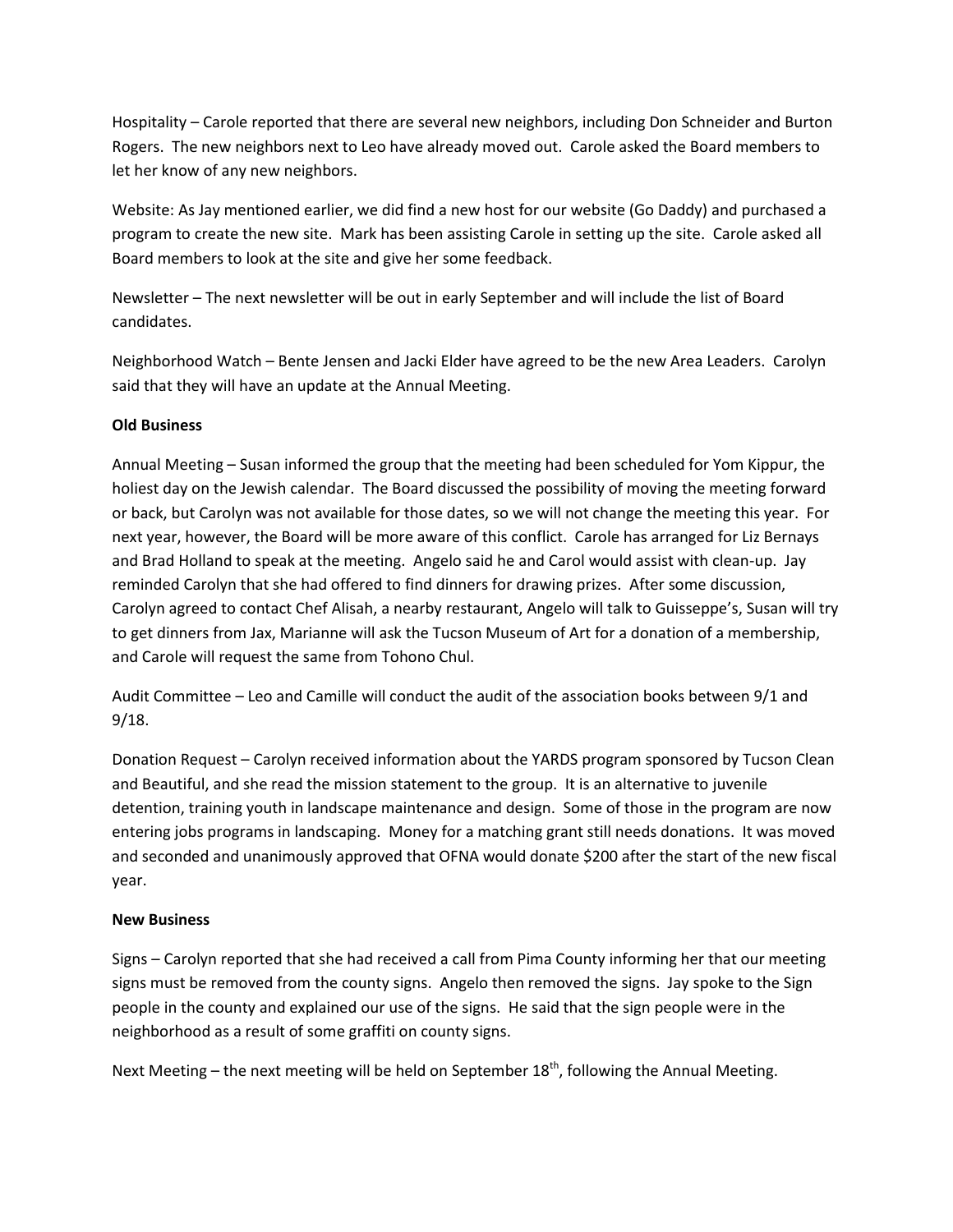Hospitality – Carole reported that there are several new neighbors, including Don Schneider and Burton Rogers. The new neighbors next to Leo have already moved out. Carole asked the Board members to let her know of any new neighbors.

Website: As Jay mentioned earlier, we did find a new host for our website (Go Daddy) and purchased a program to create the new site. Mark has been assisting Carole in setting up the site. Carole asked all Board members to look at the site and give her some feedback.

Newsletter – The next newsletter will be out in early September and will include the list of Board candidates.

Neighborhood Watch – Bente Jensen and Jacki Elder have agreed to be the new Area Leaders. Carolyn said that they will have an update at the Annual Meeting.

## **Old Business**

Annual Meeting – Susan informed the group that the meeting had been scheduled for Yom Kippur, the holiest day on the Jewish calendar. The Board discussed the possibility of moving the meeting forward or back, but Carolyn was not available for those dates, so we will not change the meeting this year. For next year, however, the Board will be more aware of this conflict. Carole has arranged for Liz Bernays and Brad Holland to speak at the meeting. Angelo said he and Carol would assist with clean-up. Jay reminded Carolyn that she had offered to find dinners for drawing prizes. After some discussion, Carolyn agreed to contact Chef Alisah, a nearby restaurant, Angelo will talk to Guisseppe's, Susan will try to get dinners from Jax, Marianne will ask the Tucson Museum of Art for a donation of a membership, and Carole will request the same from Tohono Chul.

Audit Committee – Leo and Camille will conduct the audit of the association books between 9/1 and 9/18.

Donation Request – Carolyn received information about the YARDS program sponsored by Tucson Clean and Beautiful, and she read the mission statement to the group. It is an alternative to juvenile detention, training youth in landscape maintenance and design. Some of those in the program are now entering jobs programs in landscaping. Money for a matching grant still needs donations. It was moved and seconded and unanimously approved that OFNA would donate \$200 after the start of the new fiscal year.

### **New Business**

Signs – Carolyn reported that she had received a call from Pima County informing her that our meeting signs must be removed from the county signs. Angelo then removed the signs. Jay spoke to the Sign people in the county and explained our use of the signs. He said that the sign people were in the neighborhood as a result of some graffiti on county signs.

Next Meeting – the next meeting will be held on September  $18<sup>th</sup>$ , following the Annual Meeting.